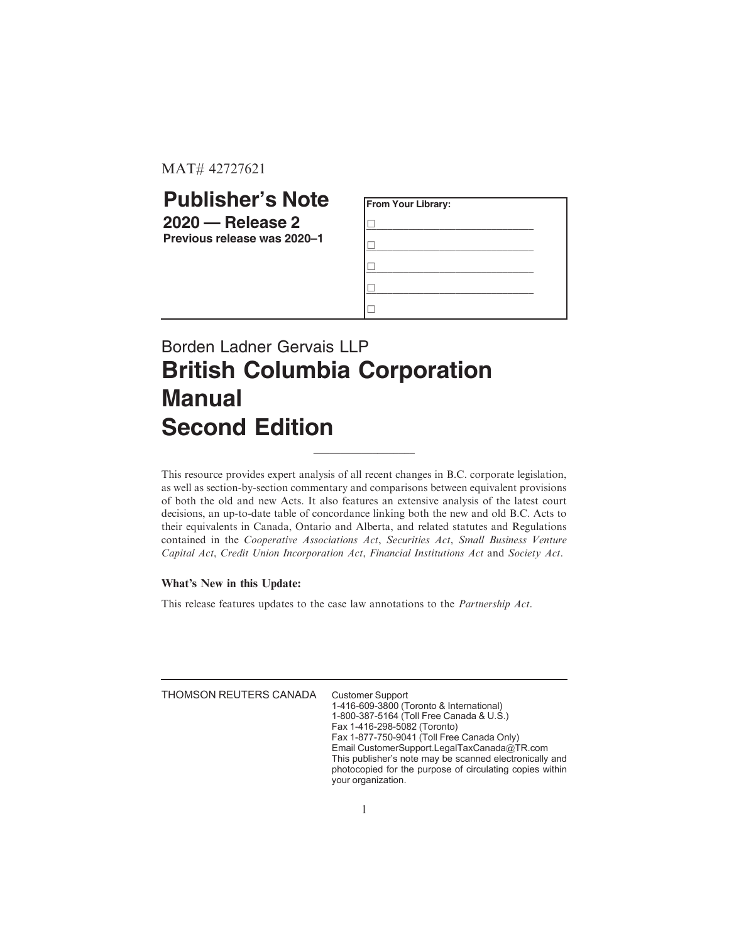MAT# 42727621

## **Publisher's Note 2020 — Release 2**

**Previous release was 2020–1**

| From Your Library: |  |
|--------------------|--|
|                    |  |
|                    |  |
|                    |  |
|                    |  |
|                    |  |

## Borden Ladner Gervais LLP **British Columbia Corporation Manual Second Edition**

This resource provides expert analysis of all recent changes in B.C. corporate legislation, as well as section-by-section commentary and comparisons between equivalent provisions of both the old and new Acts. It also features an extensive analysis of the latest court decisions, an up-to-date table of concordance linking both the new and old B.C. Acts to their equivalents in Canada, Ontario and Alberta, and related statutes and Regulations contained in the Cooperative Associations Act, Securities Act, Small Business Venture Capital Act, Credit Union Incorporation Act, Financial Institutions Act and Society Act.

 $\_$ 

## What's New in this Update:

This release features updates to the case law annotations to the Partnership Act.

THOMSON REUTERS CANADA Customer Support

1-416-609-3800 (Toronto & International) 1-800-387-5164 (Toll Free Canada & U.S.) Fax 1-416-298-5082 (Toronto) Fax 1-877-750-9041 (Toll Free Canada Only) Email CustomerSupport.LegalTaxCanada@TR.com This publisher's note may be scanned electronically and photocopied for the purpose of circulating copies within your organization.